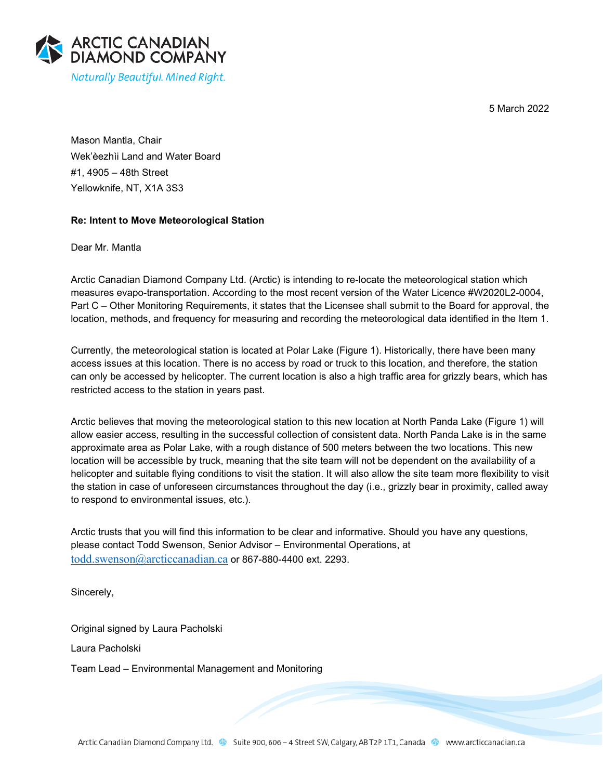5 March 2022



Mason Mantla, Chair Wek'èezhìi Land and Water Board #1, 4905 – 48th Street Yellowknife, NT, X1A 3S3

## **Re: Intent to Move Meteorological Station**

Dear Mr. Mantla

Arctic Canadian Diamond Company Ltd. (Arctic) is intending to re-locate the meteorological station which measures evapo-transportation. According to the most recent version of the Water Licence #W2020L2-0004, Part C – Other Monitoring Requirements, it states that the Licensee shall submit to the Board for approval, the location, methods, and frequency for measuring and recording the meteorological data identified in the Item 1.

Currently, the meteorological station is located at Polar Lake (Figure 1). Historically, there have been many access issues at this location. There is no access by road or truck to this location, and therefore, the station can only be accessed by helicopter. The current location is also a high traffic area for grizzly bears, which has restricted access to the station in years past.

Arctic believes that moving the meteorological station to this new location at North Panda Lake (Figure 1) will allow easier access, resulting in the successful collection of consistent data. North Panda Lake is in the same approximate area as Polar Lake, with a rough distance of 500 meters between the two locations. This new location will be accessible by truck, meaning that the site team will not be dependent on the availability of a helicopter and suitable flying conditions to visit the station. It will also allow the site team more flexibility to visit the station in case of unforeseen circumstances throughout the day (i.e., grizzly bear in proximity, called away to respond to environmental issues, etc.).

Arctic trusts that you will find this information to be clear and informative. Should you have any questions, please contact Todd Swenson, Senior Advisor – Environmental Operations, at [todd.swenson@arcticcanadian.ca](mailto:todd.swenson@arcticcanadian.ca) or 867-880-4400 ext. 2293.

Sincerely,

Original signed by Laura Pacholski Laura Pacholski

Team Lead – Environmental Management and Monitoring